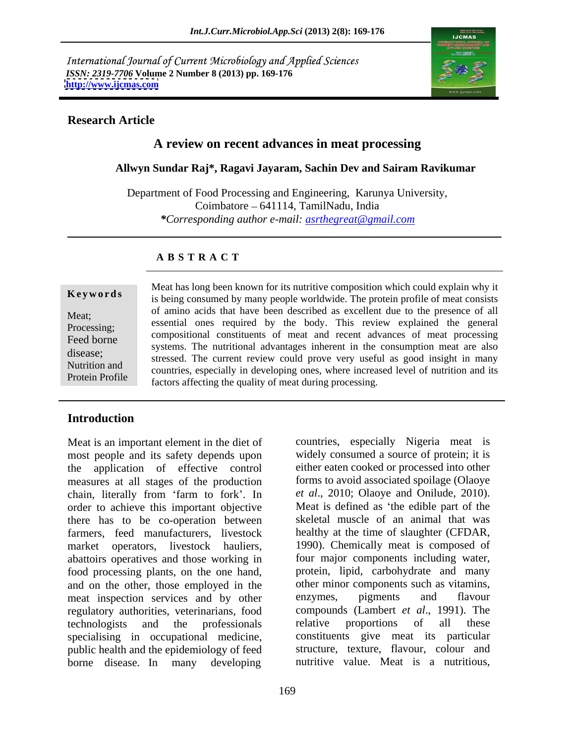International Journal of Current Microbiology and Applied Sciences *ISSN: 2319-7706* **Volume 2 Number 8 (2013) pp. 169-176 <http://www.ijcmas.com>**



### **Research Article**

## **A review on recent advances in meat processing**

### **Allwyn Sundar Raj\*, Ragavi Jayaram, Sachin Dev and Sairam Ravikumar**

Department of Food Processing and Engineering, Karunya University, Coimbatore 641114, TamilNadu, India *\*Corresponding author e-mail: asrthegreat@gmail.com*

### **A B S T R A C T**

**Keywords** is being consumed by many people worldwide. The protein profile of meat consists Meat; or animo actus that have been described as excellent due to the presence or an Processing; essential ones required by the body. This review explained the general Feed borne<br>systems. The nutritional advantages inherent in the consumption meat are also<br>disease;<br>tressed. The current raview could prove very useful as good insight in many Nutrition and countries, especially in developing ones, where increased level of nutrition and its Protein Profile<br>
factors affecting the quality of meat during processing. Meat has long been known for its nutritive composition which could explain why it of amino acids that have been described as excellent due to the presence of all compositional constituents of meat and recent advances of meat processing stressed. The current review could prove very useful as good insight in many

## **Introduction**

Meat is an important element in the diet of countries, especially Nigeria meat is most people and its safety depends upon widely consumed a source of protein; it is the application of effective control measures at all stages of the production chain, literally from 'farm to fork'. In order to achieve this important objective Meat is defined as 'the edible part of the there has to be co-operation between farmers, feed manufacturers, livestock healthy at the time of slaughter (CFDAR, market operators, livestock hauliers, abattoirs operatives and those working in food processing plants, on the one hand, and on the other, those employed in the other minor components such as vitamins,<br>meat inspection services and by other enzymes, pigments and flavour meat inspection services and by other enzymes, pigments and regulatory authorities, veterinarians, food compounds (Lambert echnologists and the professionals relative proportions technologists and the professionals specialising in occupational medicine, public health and the epidemiology of feed borne disease. In many developing

.

either eaten cooked or processed into other forms to avoid associated spoilage (Olaoye *et al*., 2010; Olaoye and Onilude, 2010). skeletal muscle of an animal that was 1990). Chemically meat is composed of four major components including water, protein, lipid, carbohydrate and many other minor components such as vitamins, enzymes, pigments and flavour compounds (Lambert *et al*., 1991). The relative proportions of all these constituents give meat its particular structure, texture, flavour, colour and nutritive value. Meat is a nutritious,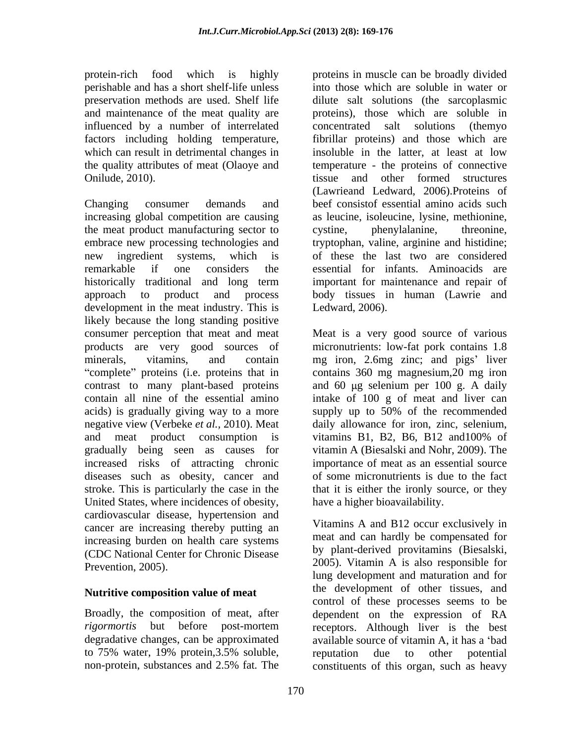influenced by a number of interrelated

the meat product manufacturing sector to cystine, phenylalanine, threonine, development in the meat industry. This is likely because the long standing positive acids) is gradually giving way to a more supply up to 50% of the recommended and meat product consumption is vitamins B1, B2, B6, B12 and 100% of increased risks of attracting chronic diseases such as obesity, cancer and stroke. This is particularly the case in the United States, where incidences of obesity, cardiovascular disease, hypertension and cancer are increasing thereby putting an increasing burden on health care systems (CDC National Center for Chronic Disease

## **Nutritive composition value of meat**

degradative changes, can be approximated

protein-rich food which is highly proteins in muscle can be broadly divided perishable and has a short shelf-life unless into those which are soluble in water or preservation methods are used. Shelf life dilute salt solutions (the sarcoplasmic and maintenance of the meat quality are proteins), those which are soluble in factors including holding temperature, fibrillar proteins) and those which are which can result in detrimental changes in insoluble in the latter, at least at low the quality attributes of meat (Olaoye and temperature - the proteins of connective Onilude, 2010). tissue and other formed structures Changing consumer demands and beef consistof essential amino acids such increasing global competition are causing as leucine, isoleucine, lysine, methionine, embrace new processing technologies and tryptophan, valine, arginine and histidine; new ingredient systems, which is of these the last two are considered remarkable if one considers the essential for infants. Aminoacids are historically traditional and long term important for maintenance and repair of approach to product and process body tissues in human (Lawrie and concentrated salt solutions (themyo (Lawrieand Ledward, 2006).Proteins of cystine, phenylalanine, threonine, of these the last two are considered important for maintenance and repair of Ledward, 2006).

consumer perception that meat and meat Meat is a very good source of various products are very good sources of micronutrients: low-fat pork contains 1.8 minerals, vitamins, and contain mg iron, 2.6mg zinc; and pigs' liver complete" proteins (i.e. proteins that in contains 360 mg magnesium, 20 mg iron contrast to many plant-based proteins and 60 µg selenium per 100 g. A daily contain all nine of the essential amino intake of 100 g of meat and liver can negative view (Verbeke *et al.*, 2010). Meat daily allowance for iron, zinc, selenium, gradually being seen as causes for vitamin A (Biesalski and Nohr, 2009). The supply up to 50% of the recommended vitamins B1, B2, B6, B12 and100% of importance of meat as an essential source of some micronutrients is due to the fact that it is either the ironly source, or they have a higher bioavailability.

Prevention, 2005). 2005). Vitamin A is also responsible for Broadly, the composition of meat, after dependent on the expression of RA *rigormortis* but before post-mortem receptors. Although liver is the best to 75% water, 19% protein,3.5% soluble, non-protein, substances and 2.5% fat*.* The constituents of this organ, such as heavyVitamins A and B12 occur exclusively in meat and can hardly be compensated for by plant-derived provitamins (Biesalski, lung development and maturation and for the development of other tissues, and control of these processes seems to be available source of vitamin A, it has a 'bad reputation due to other potential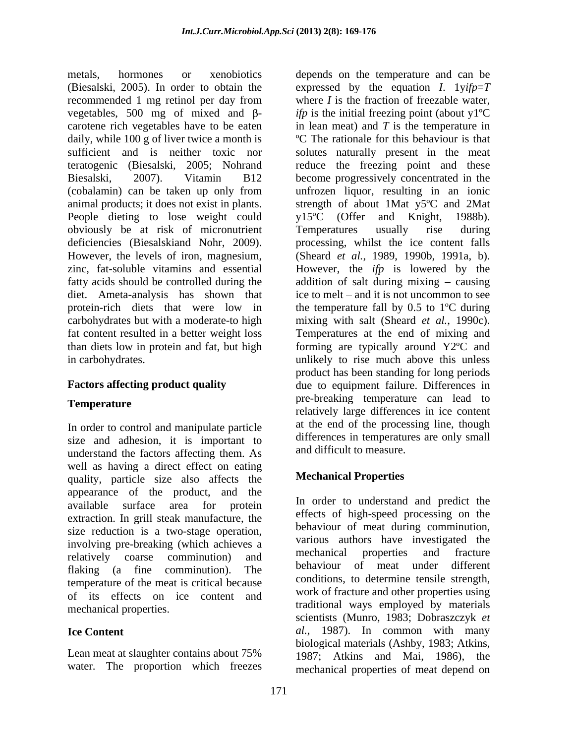metals, hormones or xenobiotics depends on the temperature and can be (Biesalski, 2005). In order to obtain the expressed by the equation *I*. 1y*ifp*=*T* recommended 1 mg retinol per day from vegetables, 500 mg of mixed and  $\beta$ - *ifp* is the initial freezing point (about y<sup>1</sup>°C carotene rich vegetables have to be eaten in lean meat) and *T* is the temperature in daily, while 100 g of liver twice a month is sufficient and is neither toxic nor solutes naturally present in the meat teratogenic (Biesalski, 2005; Nohrand reduce the freezing point and these Biesalski, 2007). Vitamin B12 become progressively concentrated in the (cobalamin) can be taken up only from unfrozen liquor, resulting in an ionic animal products; it does not exist in plants. strength of about 1Mat y5ºC and 2Mat People dieting to lose weight could y15<sup>o</sup>C (Offer and Knight, 1988b). obviously be at risk of micronutrient<br>deficiencies (Biesalskiand Nohr, 2009). The processing, whilst the ice content falls deficiencies (Biesalskiand Nohr, 2009). processing, whilst the ice content falls However, the levels of iron, magnesium, (Sheard *et al.*, 1989, 1990b, 1991a, b). zinc, fat-soluble vitamins and essential However, the *ifp* is lowered by the fatty acids should be controlled during the addition of salt during mixing – causing diet. Ameta-analysis has shown that ice to melt – and it is not uncommon to see protein-rich diets that were low in carbohydrates but with a moderate-to high mixing with salt (Sheard *et al.*, 1990c). fat content resulted in a better weight loss Temperatures at the end of mixing and than diets low in protein and fat, but high forming are typically around Y2ºC and in carbohydrates. unlikely to rise much above this unless

In order to control and manipulate particle size and adhesion, it is important to understand the factors affecting them. As well as having a direct effect on eating quality, particle size also affects the appearance of the product, and the extraction. In grill steak manufacture, the size reduction is a two-stage operation, involving pre-breaking (which achieves a various authors have investigated the relatively corresponding communition) and mechanical properties and fracture flaking (a fine comminution). The behaviour of meat under different temperature of the meat is critical because of its effects on ice content and

Lean meat at slaughter contains about 75% water. The proportion which freezes

**Factors affecting product quality** due to equipment failure. Differences in **Temperature Example 2018 Constant Constant Constant Constant Constant Constant Constant Constant Constant Constant Constant Constant Constant Constant Constant Constant Constant Constant Constant Constant Constant Con** where *I* is the fraction of freezable water, ºC The rationale for this behaviour is that Temperatures usually rise during the temperature fall by 0.5 to 1ºC during product has been standing for long periods pre-breaking temperature can lead to relatively large differences in ice content at the end of the processing line, though differences in temperatures are only small and difficult to measure.

# **Mechanical Properties**

available surface area for protein and and and predict the relatively coarse comminution) and mechanical properties and fracture mechanical properties. traditional ways employed by materials **Ice Content** *al.*, 1987). In common with many In order to understand and predict the effects of high-speed processing on the behaviour of meat during comminution, various authors have investigated the mechanical properties and fracture behaviour of meat under conditions, to determine tensile strength, work of fracture and other properties using scientists (Munro, 1983; Dobraszczyk *et* biological materials (Ashby, 1983; Atkins, 1987; Atkins and Mai, 1986), the mechanical properties of meat depend on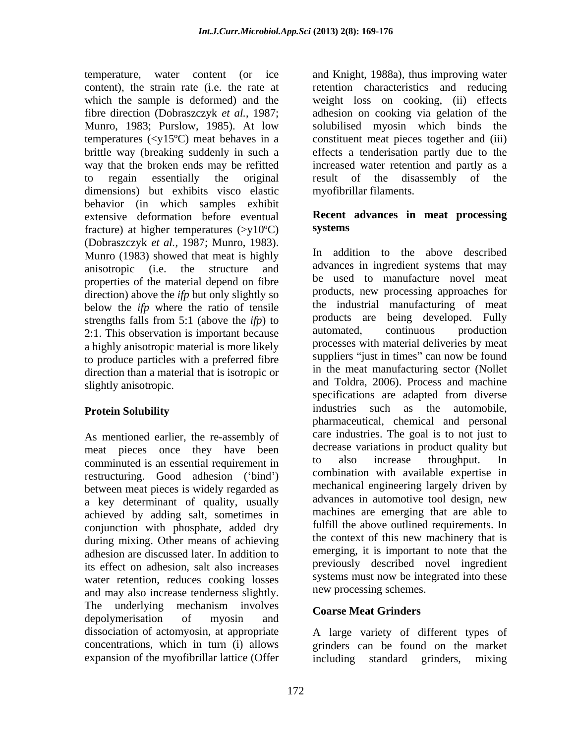dimensions) but exhibits visco elastic behavior (in which samples exhibit extensive deformation before eventual fracture) at higher temperatures  $(\geq v10^{\circ}C)$  systems (Dobraszczyk *et al.*, 1987; Munro, 1983). Munro (1983) showed that meat is highly anisotropic (i.e. the structure and properties of the material depend on fibre direction) above the *ifp* but only slightly so below the *ifp* where the ratio of tensile strengths falls from 5:1 (above the *ifp*) to products are being developed. Fully  $2 \cdot 1$  This observation is important because automated, continuous production 2:1. This observation is important because a highly anisotropic material is more likely to produce particles with a preferred fibre direction than a material that is isotropic or

As mentioned earlier, the re-assembly of meat pieces once they have been decrease variations in product quality but<br>comminuted is an essential requirement in to also increase throughput. In comminuted is an essential requirement in restructuring. Good adhesion ('bind') between meat pieces is widely regarded as a key determinant of quality, usually achieved by adding salt, sometimes in conjunction with phosphate, added dry during mixing. Other means of achieving adhesion are discussed later. In addition to its effect on adhesion, salt also increases water retention, reduces cooking losses and may also increase tenderness slightly. The underlying mechanism involves Conres Most Crindors depolymerisation of myosin and course their criminals dissociation of actomyosin, at appropriate A large variety of different types of concentrations, which in turn (i) allows grinders can be found on the market expansion of the myofibrillar lattice (Offer including standard grinders, mixing

temperature, water content (or ice and Knight, 1988a), thus improving water content), the strain rate (i.e. the rate at retention characteristics and reducing which the sample is deformed) and the weight loss on cooking, (ii) effects fibre direction (Dobraszczyk *et al.*, 1987; adhesion on cooking via gelation of the Munro, 1983; Purslow, 1985). At low solubilised myosin which binds the temperatures (<y15ºC) meat behaves in a constituent meat pieces together and (iii) brittle way (breaking suddenly in such a effects a tenderisation partly due to the way that the broken ends may be refitted increased water retention and partly as a to regain essentially the original result of the disassembly of the myofibrillar filaments.

## **Recent advances in meat processing systems**

slightly anisotropic. and Toldra, 2006). Process and machine **Protein Solubility industries** such as the automobile, In addition to the above described advances in ingredient systems that may be used to manufacture novel meat products, new processing approaches for the industrial manufacturing of meat products are being developed. Fully automated, continuous production processes with material deliveries by meat suppliers "just in times" can now be found in the meat manufacturing sector (Nollet specifications are adapted from diverse pharmaceutical, chemical and personal care industries. The goal is to not just to decrease variations in product quality but to also increase throughput. In combination with available expertise in mechanical engineering largely driven by advances in automotive tool design, new machines are emerging that are able to fulfill the above outlined requirements. In the context of this new machinery that is emerging, it is important to note that the previously described novel ingredient systems must now be integrated into these new processing schemes.

# **Coarse Meat Grinders**

including standard grinders, mixing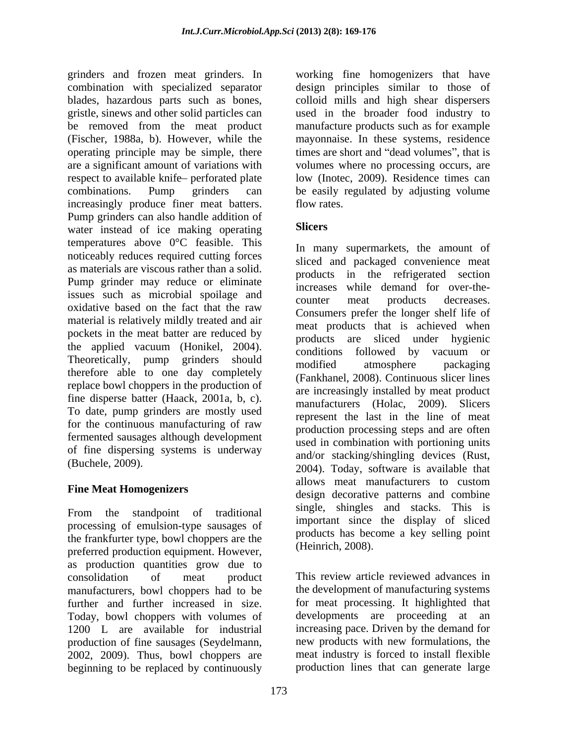grinders and frozen meat grinders. In combination with specialized separator blades, hazardous parts such as bones, colloid mills and high shear dispersers gristle, sinews and other solid particles can used in the broader food industry to be removed from the meat product manufacture products such as for example (Fischer, 1988a, b). However, while the mayonnaise. In these systems, residence operating principle may be simple, there times are short and "dead volumes", that is are a significant amount of variations with volumes where no processing occurs, are respect to available knife-perforated plate combinations. Pump grinders can be easily regulated by adjusting volume increasingly produce finer meat batters. Pump grinders can also handle addition of<br>water instead of iso making appearing water instead of ice making operating temperatures above 0°C feasible. This noticeably reduces required cutting forces as materials are viscous rather than a solid. Pump grinder may reduce or eliminate issues such as microbial spoilage and<br>counter meat products decreases. oxidative based on the fact that the raw<br>Consumers prefer the longer shelf life of material is relatively mildly treated and air pockets in the meat batter are reduced by products are sliced under hygienic the applied vacuum (Honikel, 2004). Products are sheed and hygield vacuum or Theoretically, pump grinders should modified atmosphere packaging Theoretically, pump grinders should<br>therefore able to one day completely<br> $\frac{12000}{\text{Fermi}}$   $\frac{12000}{\text{Fermi}}$   $\frac{1}{\text{Fermi}}$  atmosphere packaging replace bowl choppers in the production of fine disperse batter (Haack, 2001a, b, c). To date, pump grinders are mostly used for the continuous manufacturing of raw fermented sausages although development of fine dispersing systems is underway (Buchele, 2009).

From the standpoint of traditional processing of emulsion-type sausages of the frankfurter type, bowl choppers are the preferred production equipment. However, as production quantities grow due to manufacturers, bowl choppers had to be further and further increased in size. Today, bowl choppers with volumes of production of fine sausages (Seydelmann, 2002, 2009). Thus, bowl choppers are beginning to be replaced by continuously

working fine homogenizers that have design principles similar to those of low (Inotec, 2009). Residence times can flow rates.

# **Slicers**

Fine Meat Homogenizers<br>
design decorative patterns and combine In many supermarkets, the amount of sliced and packaged convenience meat products in the refrigerated section increases while demand for over-the counter meat products decreases. Consumers prefer the longer shelf life of meat products that is achieved when products are sliced under hygienic conditions followed by vacuum or modified atmosphere packaging (Fankhanel, 2008). Continuous slicer lines are increasingly installed by meat product manufacturers (Holac, 2009). Slicers represent the last in the line of meat production processing steps and are often used in combination with portioning units and/or stacking/shingling devices (Rust, 2004). Today, software is available that allows meat manufacturers to custom single, shingles and stacks. This is important since the display of sliced products has become a key selling point (Heinrich, 2008).

consolidation of meat product This review article reviewed advances in 1200 L are available for industrial increasing pace. Driven by the demand for the development of manufacturing systems for meat processing. It highlighted that developments are proceeding at an new products with new formulations, the meat industry is forced to install flexible production lines that can generate large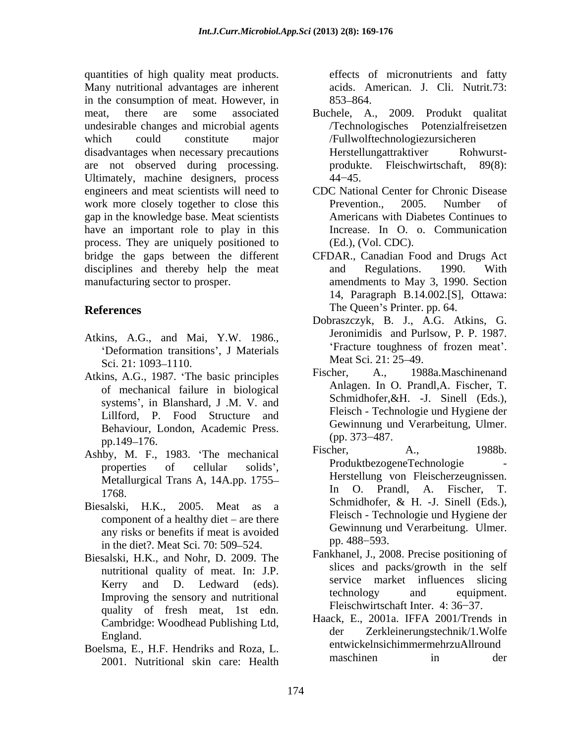quantities of high quality meat products. Many nutritional advantages are inherent in the consumption of meat. However, in 853–864. meat, there are some associated Buchele, A., 2009. Produkt qualitat undesirable changes and microbial agents /Technologisches Potenzialfreisetzen which could constitute major /Fullwolftechnologiezursicheren disadvantages when necessary precautions are not observed during processing. Ultimately, machine designers, process  $44-45$ . engineers and meat scientists will need to work more closely together to close this Prevention., 2005. Number of gap in the knowledge base. Meat scientists have an important role to play in this process. They are uniquely positioned to bridge the gaps between the different disciplines and thereby help the meat and Regulations. 1990. With manufacturing sector to prosper. amendments to May 3, 1990. Section

- Sci. 21: 1093–1110. Mean Sci. 21: 25–49.
- of mechanical failure in biological systems , in Blanshard, J .M. V. and Lillford, P. Food Structure and Behaviour, London, Academic Press.<br>pp. 373–487. pp.149–176. (pp.  $\frac{1}{2}$ ). (pp.  $\frac{1}{2}$ ). (pp.  $\frac{1}{2}$ ). (pp.  $\frac{1}{2}$ ).
- 
- Biesalski, H.K., 2005. Meat as a component of a healthy diet  $-$  are there any risks or benefits if meat is avoided<br>in the dist? Most Soi 70: 500, 524 pp. 488–593. in the diet?. Meat Sci. 70: 509–524.
- Biesalski, H.K., and Nohr, D. 2009. The nutritional quality of meat. In: J.P. Improving the sensory and nutritional quality of fresh meat, 1st edn. Cambridge: Woodhead Publishing Ltd, Haack, der
- 2001. Nutritional skin care: Health

effects of micronutrients and fatty acids. American. J. Cli. Nutrit.73: 853–864.

- Herstellungattraktiver produkte. Fleischwirtschaft, 89(8):  $44 - 45.$
- CDC National Center for Chronic Disease Prevention., 2005. Number of Americans with Diabetes Continues to Increase. In O. o. Communication (Ed.), (Vol. CDC).
- **References** The Queen's Printer. pp. 64. CFDAR., Canadian Food and Drugs Act and Regulations. 1990. With 14, Paragraph B.14.002.[S], Ottawa: The Queen's Printer. pp. 64.
- Atkins, A.G., and Mai, Y.W. 1986.,<br>
'Deformation transitions', J Materials<br>
Fracture toughness of frozen meat'. Dobraszczyk, B. J., A.G. Atkins, G. Jeronimidis and Purlsow, P. P. 1987. Fracture toughness of frozen meat . Meat Sci. 21: 25–49.
- Atkins, A.G., 1987. The basic principles Fischer, A., 1988a.Maschinenand Fischer, A., 1988a.Maschinenand Anlagen. In O. Prandl,A. Fischer, T. Schmidhofer,&H. -J. Sinell (Eds.), Fleisch - Technologie und Hygiene der Gewinnung und Verarbeitung, Ulmer. (pp. 373 487.
- Ashby, M. F., 1983. The mechanical Fischer, A., 1988b. properties of cellular solids', Produktoezogene econologie Metallurgical Trans A, 14A.pp. 1755-<br>Metallurgical Trans A, 14A.pp. 1755-<br>M. O. Prandl. A. Fischer. T. 1768. In O. Prandi, A. Fischer, 1.<br>Schmidhofer, & H. -J. Sinell (Eds.), Fischer, A., 1988b. ProduktbezogeneTechnologie - Herstellung von Fleischerzeugnissen. O. Prandl. A. Fischer, Schmidhofer, & H. -J. Sinell (Eds.), Fleisch - Technologie und Hygiene der Gewinnung und Verarbeitung. Ulmer. pp. 488–593.
	- Kerry and D. Ledward (eds). Service market influences slicing<br>technology and equipment. Fankhanel, J., 2008. Precise positioning of slices and packs/growth in the self service market influences slicing technology and equipment. Fleischwirtschaft Inter. 4: 36–37.
- England. der Zerkleinerungstechnik/1.Wolfe Boelsma, E., H.F. Hendriks and Roza, L.<br>maschinen in der der the U. H. Haack, E., 2001a. IFFA 2001/Trends in entwickelnsichimmermehrzuAllround maschinen in der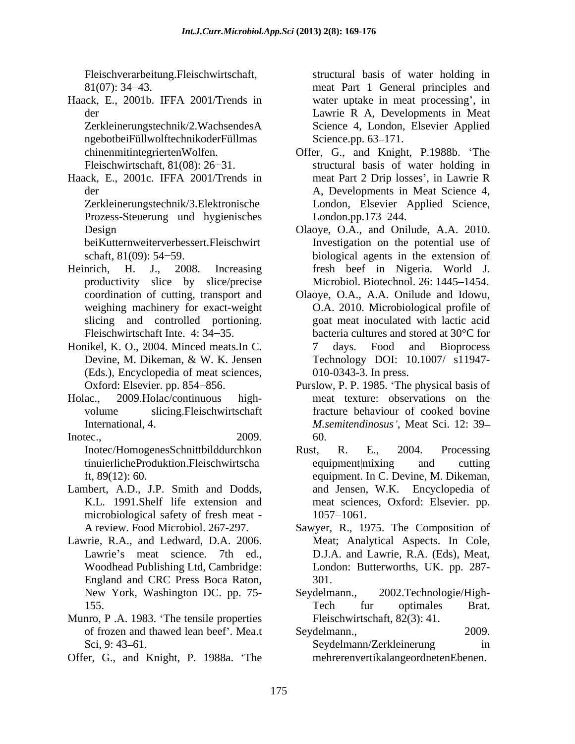Haack, E., 2001b. IFFA 2001/Trends in

ngebotbeiFüllwolftechnikoderFüllmas Science.pp. 63-171.

Haack, E., 2001c. IFFA 2001/Trends in Prozess-Steuerung und hygienisches

- Heinrich, H. J., 2008. Increasing fresh beef in Nigeria. World J. slicing and controlled portioning.
- Honikel, K. O., 2004. Minced meats.In C. (Eds.), Encyclopedia of meat sciences,
- 
- Inotec., 2009. 60.
- microbiological safety of fresh meat 1057-1061.
- Lawrie, R.A., and Ledward, D.A. 2006. Meat; Analytical Aspects. In Cole, England and CRC Press Boca Raton, New York, Washington DC. pp. 75-
- Munro, P .A. 1983. The tensile properties of frozen and thawed lean beef'. Mea.t Seydelmann., 2009.
- Offer, G., and Knight, P. 1988a. The

Fleischverarbeitung. Fleischwirtschaft, structural basis of water holding in 81(07): 34 43. meat Part 1 General principles and der Lawrie R A, Developments in Meat Zerkleinerungstechnik/2.WachsendesA Science 4, London, Elsevier Applied water uptake in meat processing', in Science 4, London, Elsevier Applied Science.pp. 63–171.

- chinenmitintegriertenWolfen. Offer, G., and Knight, P.1988b. The Fleischwirtschaft, 81(08): 26–31. Structural basis of water holding in der A, Developments in Meat Science 4, Zerkleinerungstechnik/3.Elektronische London, Elsevier Applied Science, meat Part 2 Drip losses , in Lawrie R A, Developments in Meat Science 4,<br>London, Elsevier Applied Science, London.pp.173–244.
- Design Olaoye, O.A., and Onilude, A.A. 2010. beiKutternweiterverbessert.Fleischwirt Investigation on the potential use of schaft, 81(09): 54–59. biological agents in the extension of productivity slice by slice/precise Microbiol. Biotechnol. 26: 1445–1454. fresh beef in Nigeria. World J.<br>Microbiol. Biotechnol. 26: 1445–1454.
- coordination of cutting, transport and Olaoye, O.A., A.A. Onilude and Idowu, weighing machinery for exact-weight O.A. 2010. Microbiological profile of Fleischwirtschaft Inte. 4:  $34-35$ . bacteria cultures and stored at  $30^{\circ}$ C for Devine, M. Dikeman, & W. K. Jensen Technology DOI: 10.1007/ s11947goat meat inoculated with lactic acid 7 days. Food and Bioprocess Technology DOI: 10.1007/ s11947- 010-0343-3. In press.
- Oxford: Elsevier. pp. 854–856. Purslow, P. P. 1985. 'The physical basis of Holac., 2009.Holac/continuous high- meat texture: observations on the volume slicing.Fleischwirtschaft fracture behaviour of cooked bovine International, 4. The same of the *M.semitendinosus'*, Meat Sci. 12: 39– 60.
- Inotec/HomogenesSchnittbilddurchkon Rust, R. E., 2004. Processing tinuierlicheProduktion.Fleischwirtscha ft, 89(12): 60. equipment. In C. Devine, M. Dikeman, Lambert, A.D., J.P. Smith and Dodds, and Jensen, W.K. Encyclopedia of K.L. 1991.Shelf life extension and meat sciences, Oxford: Elsevier. pp. Rust, R. E., 2004. Processing equipment|mixing and cutting 1057 1061.
	- A review. Food Microbiol. 267-297. Sawyer, R., 1975. The Composition of Lawrie's meat science. 7th ed., D.J.A. and Lawrie, R.A. (Eds), Meat, Woodhead Publishing Ltd, Cambridge: London: Butterworths, UK. pp. 287- 301.
	- 155. Tech fur optimales Brat. 2002.Technologie/High-Tech fur optimales Brat. Fleischwirtschaft, 82(3): 41.
	- Sci, 9: 43–61. Seydelmann/Zerkleinerung in Seydelmann., 2009. Seydelmann/Zerkleinerung in mehrerenvertikalangeordnetenEbenen.